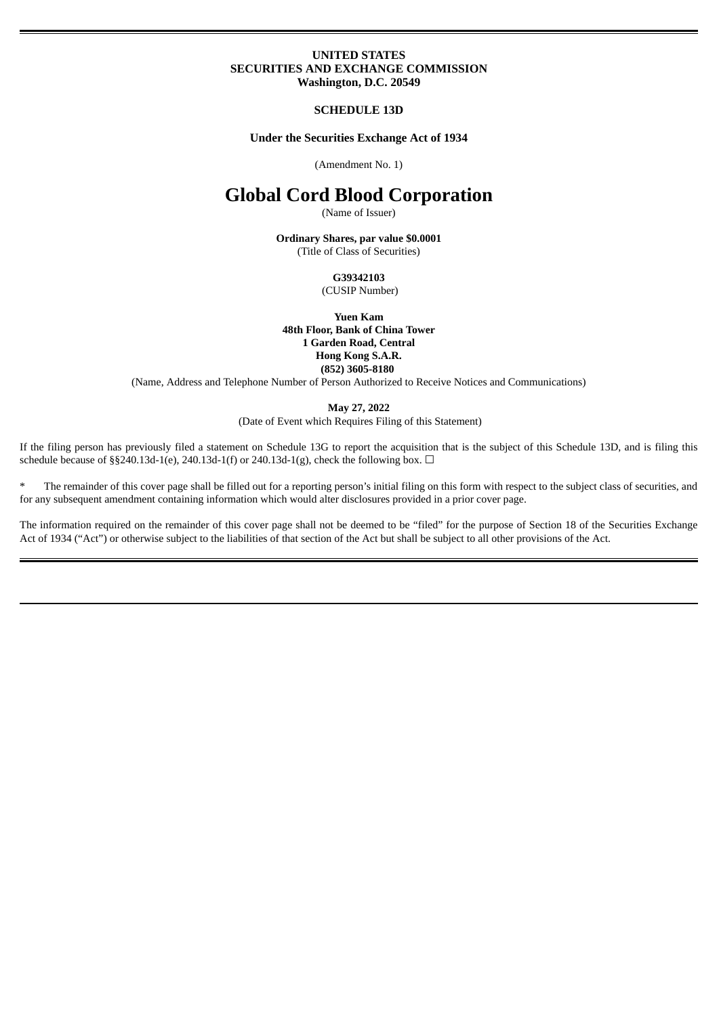#### **UNITED STATES SECURITIES AND EXCHANGE COMMISSION Washington, D.C. 20549**

**SCHEDULE 13D**

**Under the Securities Exchange Act of 1934**

(Amendment No. 1)

# **Global Cord Blood Corporation**

(Name of Issuer)

**Ordinary Shares, par value \$0.0001** (Title of Class of Securities)

> **G39342103** (CUSIP Number)

**Yuen Kam 48th Floor, Bank of China Tower 1 Garden Road, Central Hong Kong S.A.R. (852) 3605-8180**

(Name, Address and Telephone Number of Person Authorized to Receive Notices and Communications)

**May 27, 2022**

(Date of Event which Requires Filing of this Statement)

If the filing person has previously filed a statement on Schedule 13G to report the acquisition that is the subject of this Schedule 13D, and is filing this schedule because of §§240.13d-1(e), 240.13d-1(f) or 240.13d-1(g), check the following box.  $\Box$ 

\* The remainder of this cover page shall be filled out for a reporting person's initial filing on this form with respect to the subject class of securities, and for any subsequent amendment containing information which would alter disclosures provided in a prior cover page.

The information required on the remainder of this cover page shall not be deemed to be "filed" for the purpose of Section 18 of the Securities Exchange Act of 1934 ("Act") or otherwise subject to the liabilities of that section of the Act but shall be subject to all other provisions of the Act.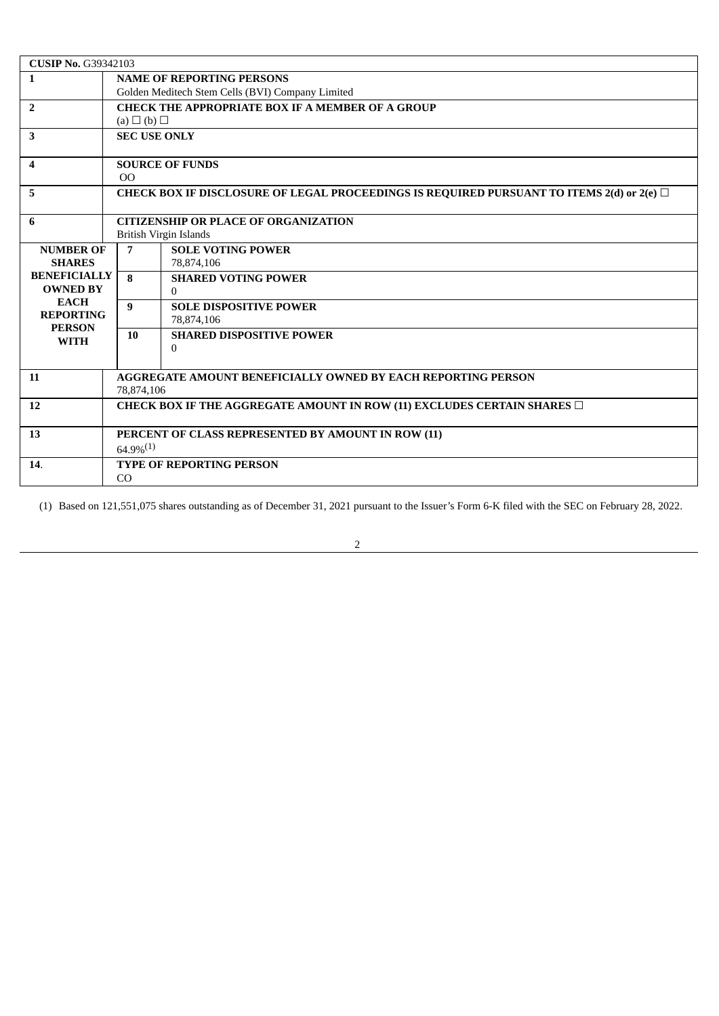| <b>CUSIP No. G39342103</b>     |                                                                                                |                                                                              |  |  |  |
|--------------------------------|------------------------------------------------------------------------------------------------|------------------------------------------------------------------------------|--|--|--|
| $\mathbf{1}$                   | <b>NAME OF REPORTING PERSONS</b>                                                               |                                                                              |  |  |  |
|                                | Golden Meditech Stem Cells (BVI) Company Limited                                               |                                                                              |  |  |  |
| $\overline{2}$                 | <b>CHECK THE APPROPRIATE BOX IF A MEMBER OF A GROUP</b>                                        |                                                                              |  |  |  |
|                                | $(a) \Box (b) \Box$                                                                            |                                                                              |  |  |  |
| 3                              | <b>SEC USE ONLY</b>                                                                            |                                                                              |  |  |  |
|                                |                                                                                                |                                                                              |  |  |  |
| $\boldsymbol{4}$               | <b>SOURCE OF FUNDS</b>                                                                         |                                                                              |  |  |  |
|                                | 0 <sup>0</sup>                                                                                 |                                                                              |  |  |  |
| 5                              | CHECK BOX IF DISCLOSURE OF LEGAL PROCEEDINGS IS REQUIRED PURSUANT TO ITEMS 2(d) or 2(e) $\Box$ |                                                                              |  |  |  |
| 6                              | <b>CITIZENSHIP OR PLACE OF ORGANIZATION</b>                                                    |                                                                              |  |  |  |
|                                | British Virgin Islands                                                                         |                                                                              |  |  |  |
| <b>NUMBER OF</b>               | $\overline{7}$                                                                                 | <b>SOLE VOTING POWER</b>                                                     |  |  |  |
| <b>SHARES</b>                  |                                                                                                | 78,874,106                                                                   |  |  |  |
| <b>BENEFICIALLY</b>            | 8                                                                                              | <b>SHARED VOTING POWER</b>                                                   |  |  |  |
| <b>OWNED BY</b><br><b>EACH</b> |                                                                                                | $\Omega$                                                                     |  |  |  |
| <b>REPORTING</b>               | 9                                                                                              | <b>SOLE DISPOSITIVE POWER</b>                                                |  |  |  |
| <b>PERSON</b>                  |                                                                                                | 78,874,106                                                                   |  |  |  |
| <b>WITH</b>                    | 10                                                                                             | <b>SHARED DISPOSITIVE POWER</b>                                              |  |  |  |
|                                |                                                                                                | $\Omega$                                                                     |  |  |  |
|                                |                                                                                                |                                                                              |  |  |  |
| 11                             | <b>AGGREGATE AMOUNT BENEFICIALLY OWNED BY EACH REPORTING PERSON</b>                            |                                                                              |  |  |  |
|                                | 78,874,106                                                                                     |                                                                              |  |  |  |
| 12                             |                                                                                                | CHECK BOX IF THE AGGREGATE AMOUNT IN ROW (11) EXCLUDES CERTAIN SHARES $\Box$ |  |  |  |
| 13                             |                                                                                                |                                                                              |  |  |  |
|                                | PERCENT OF CLASS REPRESENTED BY AMOUNT IN ROW (11)<br>$64.9\%^{(1)}$                           |                                                                              |  |  |  |
|                                |                                                                                                |                                                                              |  |  |  |
| 14.                            | <b>TYPE OF REPORTING PERSON</b><br>CO                                                          |                                                                              |  |  |  |
|                                |                                                                                                |                                                                              |  |  |  |

(1) Based on 121,551,075 shares outstanding as of December 31, 2021 pursuant to the Issuer's Form 6-K filed with the SEC on February 28, 2022.

2

<u> 1980 - Johann Barbara, martxa amerikan personal (h. 1980).</u>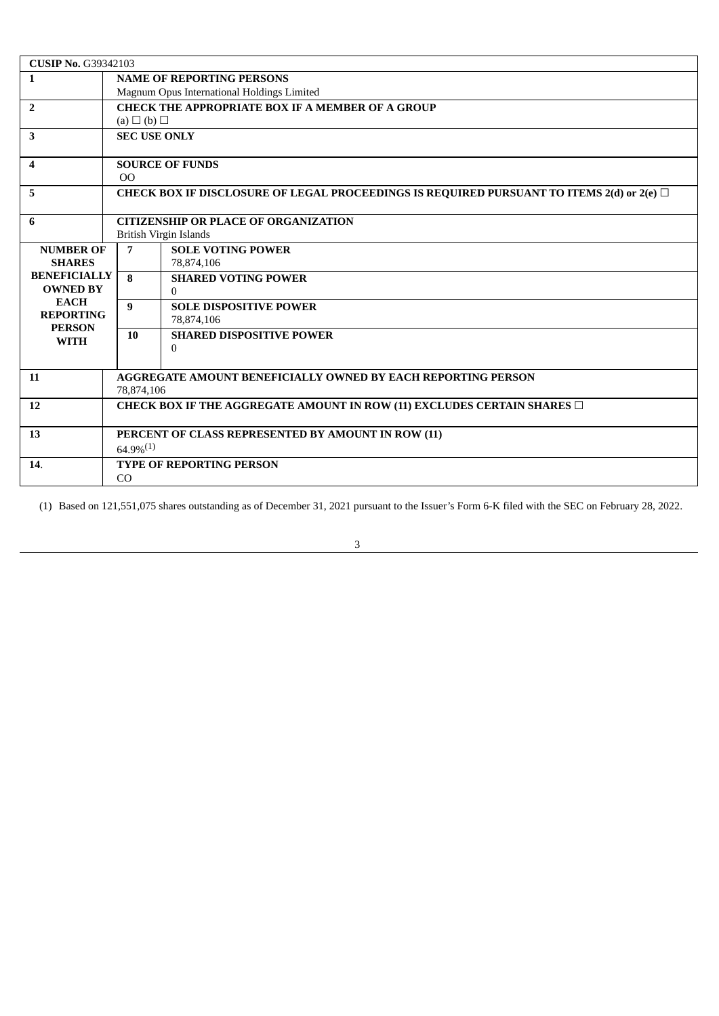| <b>CUSIP No. G39342103</b>      |                                                                                                |                                                                              |  |  |  |
|---------------------------------|------------------------------------------------------------------------------------------------|------------------------------------------------------------------------------|--|--|--|
| $\mathbf{1}$                    | <b>NAME OF REPORTING PERSONS</b>                                                               |                                                                              |  |  |  |
|                                 | Magnum Opus International Holdings Limited                                                     |                                                                              |  |  |  |
| $\overline{2}$                  | <b>CHECK THE APPROPRIATE BOX IF A MEMBER OF A GROUP</b>                                        |                                                                              |  |  |  |
|                                 | $(a) \Box (b) \Box$                                                                            |                                                                              |  |  |  |
| 3                               | <b>SEC USE ONLY</b>                                                                            |                                                                              |  |  |  |
|                                 |                                                                                                |                                                                              |  |  |  |
| $\boldsymbol{4}$                | <b>SOURCE OF FUNDS</b>                                                                         |                                                                              |  |  |  |
|                                 | 0 <sup>0</sup>                                                                                 |                                                                              |  |  |  |
| 5                               | CHECK BOX IF DISCLOSURE OF LEGAL PROCEEDINGS IS REQUIRED PURSUANT TO ITEMS 2(d) or 2(e) $\Box$ |                                                                              |  |  |  |
| 6                               | <b>CITIZENSHIP OR PLACE OF ORGANIZATION</b>                                                    |                                                                              |  |  |  |
|                                 | <b>British Virgin Islands</b>                                                                  |                                                                              |  |  |  |
| <b>NUMBER OF</b>                | $\overline{7}$                                                                                 | <b>SOLE VOTING POWER</b>                                                     |  |  |  |
| <b>SHARES</b>                   |                                                                                                | 78,874,106                                                                   |  |  |  |
| <b>BENEFICIALLY</b>             | 8                                                                                              | <b>SHARED VOTING POWER</b>                                                   |  |  |  |
| <b>OWNED BY</b>                 |                                                                                                | $\Omega$                                                                     |  |  |  |
| <b>EACH</b><br><b>REPORTING</b> | 9                                                                                              | <b>SOLE DISPOSITIVE POWER</b>                                                |  |  |  |
| <b>PERSON</b>                   |                                                                                                | 78,874,106                                                                   |  |  |  |
| <b>WITH</b>                     | 10                                                                                             | <b>SHARED DISPOSITIVE POWER</b>                                              |  |  |  |
|                                 |                                                                                                | $\Omega$                                                                     |  |  |  |
|                                 |                                                                                                |                                                                              |  |  |  |
| 11                              | <b>AGGREGATE AMOUNT BENEFICIALLY OWNED BY EACH REPORTING PERSON</b>                            |                                                                              |  |  |  |
|                                 | 78,874,106                                                                                     |                                                                              |  |  |  |
| 12                              |                                                                                                | CHECK BOX IF THE AGGREGATE AMOUNT IN ROW (11) EXCLUDES CERTAIN SHARES $\Box$ |  |  |  |
|                                 |                                                                                                |                                                                              |  |  |  |
| 13                              | PERCENT OF CLASS REPRESENTED BY AMOUNT IN ROW (11)                                             |                                                                              |  |  |  |
|                                 | $64.9\%^{(1)}$                                                                                 |                                                                              |  |  |  |
| 14.                             | <b>TYPE OF REPORTING PERSON</b>                                                                |                                                                              |  |  |  |
|                                 | CO                                                                                             |                                                                              |  |  |  |

(1) Based on 121,551,075 shares outstanding as of December 31, 2021 pursuant to the Issuer's Form 6-K filed with the SEC on February 28, 2022.

3

<u> 1980 - Johann Barbara, martxa amerikan personal (h. 1980).</u>

<u> 1980 - Johann Barbara, martxa amerikan personal (</u>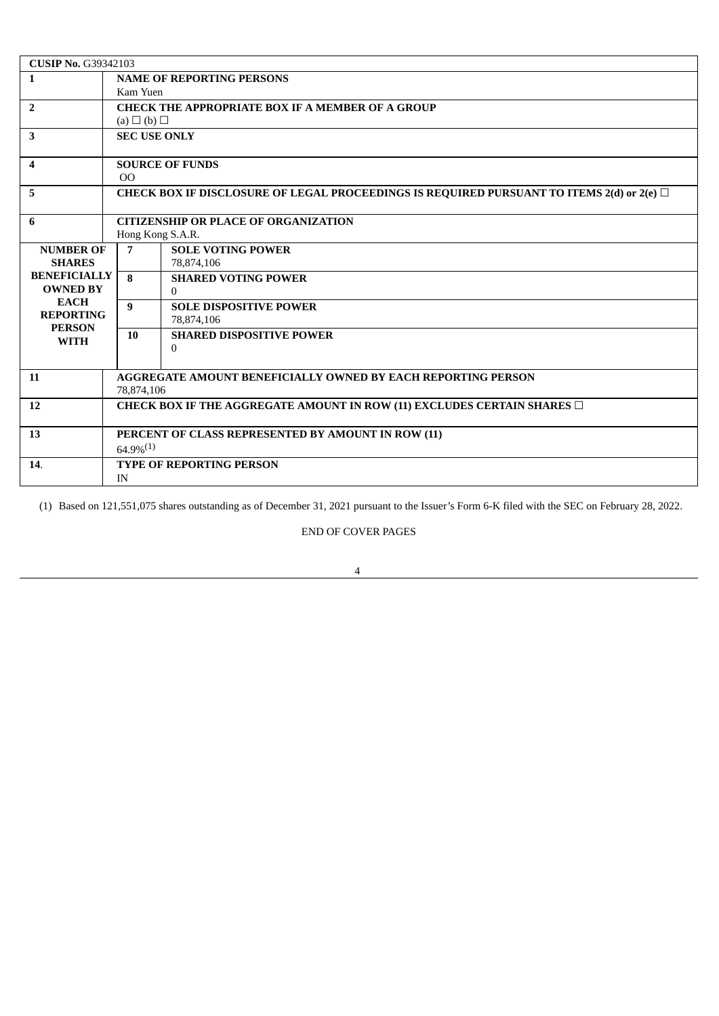| <b>CUSIP No. G39342103</b>                                      |                                                                                                |                                 |  |  |  |
|-----------------------------------------------------------------|------------------------------------------------------------------------------------------------|---------------------------------|--|--|--|
| 1                                                               | <b>NAME OF REPORTING PERSONS</b>                                                               |                                 |  |  |  |
|                                                                 | Kam Yuen                                                                                       |                                 |  |  |  |
| $\overline{2}$                                                  | <b>CHECK THE APPROPRIATE BOX IF A MEMBER OF A GROUP</b>                                        |                                 |  |  |  |
|                                                                 | $(a) \Box (b) \Box$                                                                            |                                 |  |  |  |
| 3                                                               | <b>SEC USE ONLY</b>                                                                            |                                 |  |  |  |
|                                                                 |                                                                                                |                                 |  |  |  |
| $\overline{\mathbf{4}}$                                         |                                                                                                | <b>SOURCE OF FUNDS</b>          |  |  |  |
|                                                                 | 0 <sup>0</sup>                                                                                 |                                 |  |  |  |
| 5                                                               | CHECK BOX IF DISCLOSURE OF LEGAL PROCEEDINGS IS REQUIRED PURSUANT TO ITEMS 2(d) or 2(e) $\Box$ |                                 |  |  |  |
| 6                                                               | <b>CITIZENSHIP OR PLACE OF ORGANIZATION</b>                                                    |                                 |  |  |  |
|                                                                 | Hong Kong S.A.R.                                                                               |                                 |  |  |  |
| <b>NUMBER OF</b>                                                | $\overline{7}$                                                                                 | <b>SOLE VOTING POWER</b>        |  |  |  |
| <b>SHARES</b>                                                   |                                                                                                | 78,874,106                      |  |  |  |
| <b>BENEFICIALLY</b>                                             | 8                                                                                              | <b>SHARED VOTING POWER</b>      |  |  |  |
| <b>OWNED BY</b>                                                 |                                                                                                | $\Omega$                        |  |  |  |
| <b>EACH</b><br><b>REPORTING</b><br><b>PERSON</b><br><b>WITH</b> | 9                                                                                              | <b>SOLE DISPOSITIVE POWER</b>   |  |  |  |
|                                                                 |                                                                                                | 78,874,106                      |  |  |  |
|                                                                 | 10                                                                                             | <b>SHARED DISPOSITIVE POWER</b> |  |  |  |
|                                                                 |                                                                                                | $\Omega$                        |  |  |  |
|                                                                 |                                                                                                |                                 |  |  |  |
| 11                                                              | <b>AGGREGATE AMOUNT BENEFICIALLY OWNED BY EACH REPORTING PERSON</b>                            |                                 |  |  |  |
|                                                                 | 78,874,106                                                                                     |                                 |  |  |  |
| 12                                                              | CHECK BOX IF THE AGGREGATE AMOUNT IN ROW (11) EXCLUDES CERTAIN SHARES $\Box$                   |                                 |  |  |  |
| 13                                                              | PERCENT OF CLASS REPRESENTED BY AMOUNT IN ROW (11)                                             |                                 |  |  |  |
|                                                                 | $64.9\%^{(1)}$                                                                                 |                                 |  |  |  |
| 14.                                                             | <b>TYPE OF REPORTING PERSON</b>                                                                |                                 |  |  |  |
|                                                                 | IN                                                                                             |                                 |  |  |  |

(1) Based on 121,551,075 shares outstanding as of December 31, 2021 pursuant to the Issuer's Form 6-K filed with the SEC on February 28, 2022.

END OF COVER PAGES

4

<u> 1980 - Jan James Barnett, fransk politik (d. 1980)</u>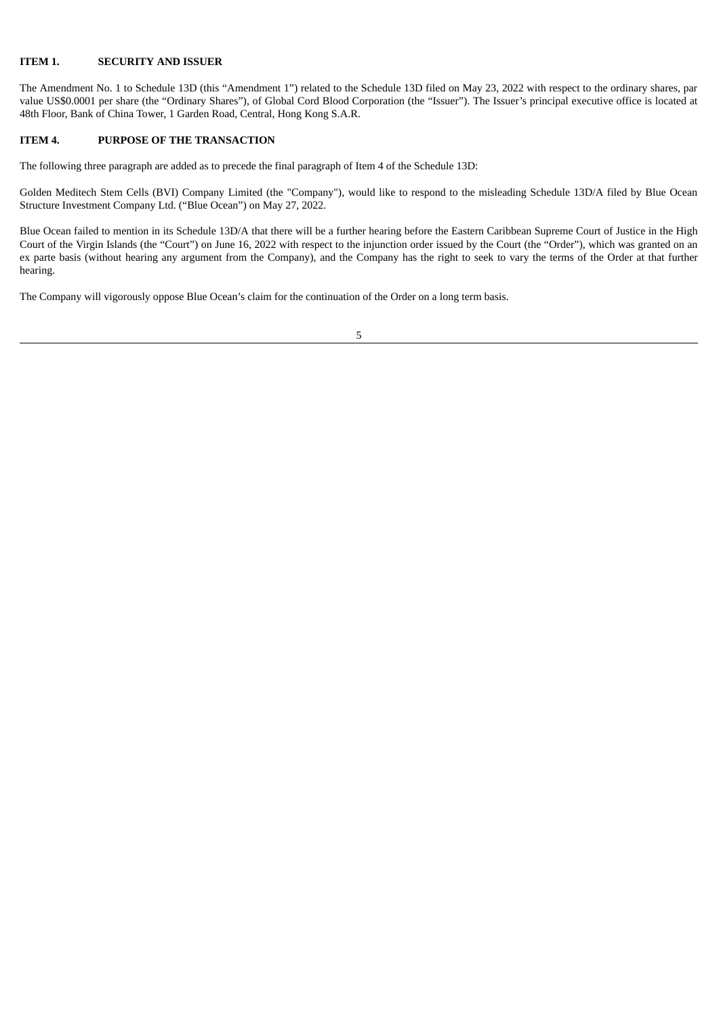#### **ITEM 1. SECURITY AND ISSUER**

The Amendment No. 1 to Schedule 13D (this "Amendment 1") related to the Schedule 13D filed on May 23, 2022 with respect to the ordinary shares, par value US\$0.0001 per share (the "Ordinary Shares"), of Global Cord Blood Corporation (the "Issuer"). The Issuer's principal executive office is located at 48th Floor, Bank of China Tower, 1 Garden Road, Central, Hong Kong S.A.R.

#### **ITEM 4. PURPOSE OF THE TRANSACTION**

The following three paragraph are added as to precede the final paragraph of Item 4 of the Schedule 13D:

Golden Meditech Stem Cells (BVI) Company Limited (the "Company"), would like to respond to the misleading Schedule 13D/A filed by Blue Ocean Structure Investment Company Ltd. ("Blue Ocean") on May 27, 2022.

Blue Ocean failed to mention in its Schedule 13D/A that there will be a further hearing before the Eastern Caribbean Supreme Court of Justice in the High Court of the Virgin Islands (the "Court") on June 16, 2022 with respect to the injunction order issued by the Court (the "Order"), which was granted on an ex parte basis (without hearing any argument from the Company), and the Company has the right to seek to vary the terms of the Order at that further hearing.

The Company will vigorously oppose Blue Ocean's claim for the continuation of the Order on a long term basis.

5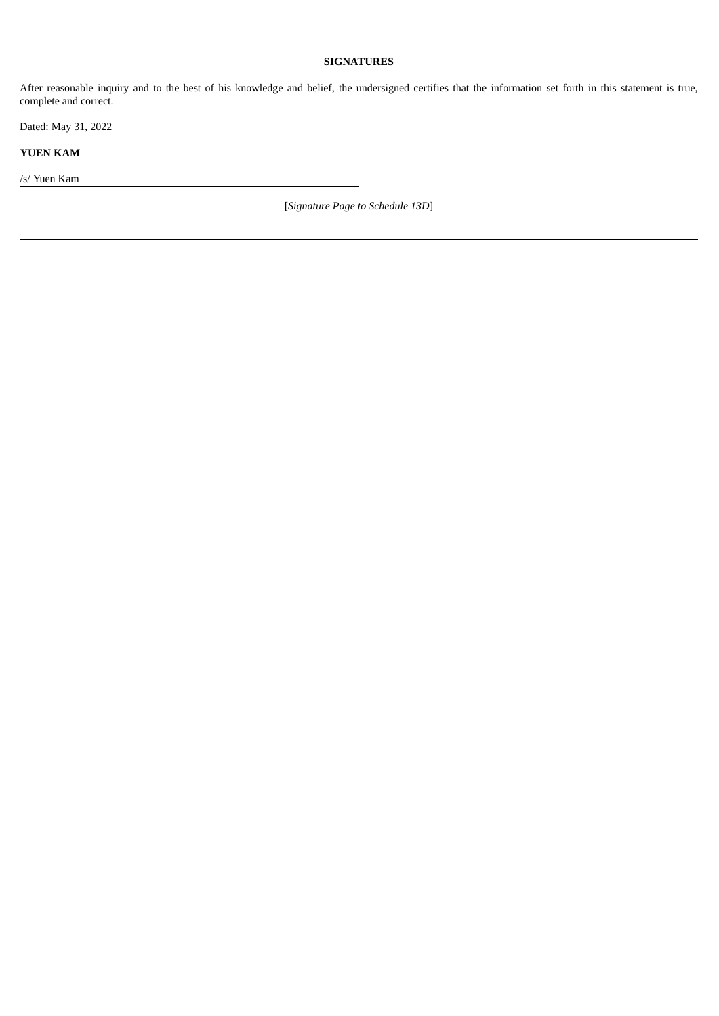### **SIGNATURES**

After reasonable inquiry and to the best of his knowledge and belief, the undersigned certifies that the information set forth in this statement is true, complete and correct.

Dated: May 31, 2022

**YUEN KAM**

/s/ Yuen Kam

[*Signature Page to Schedule 13D*]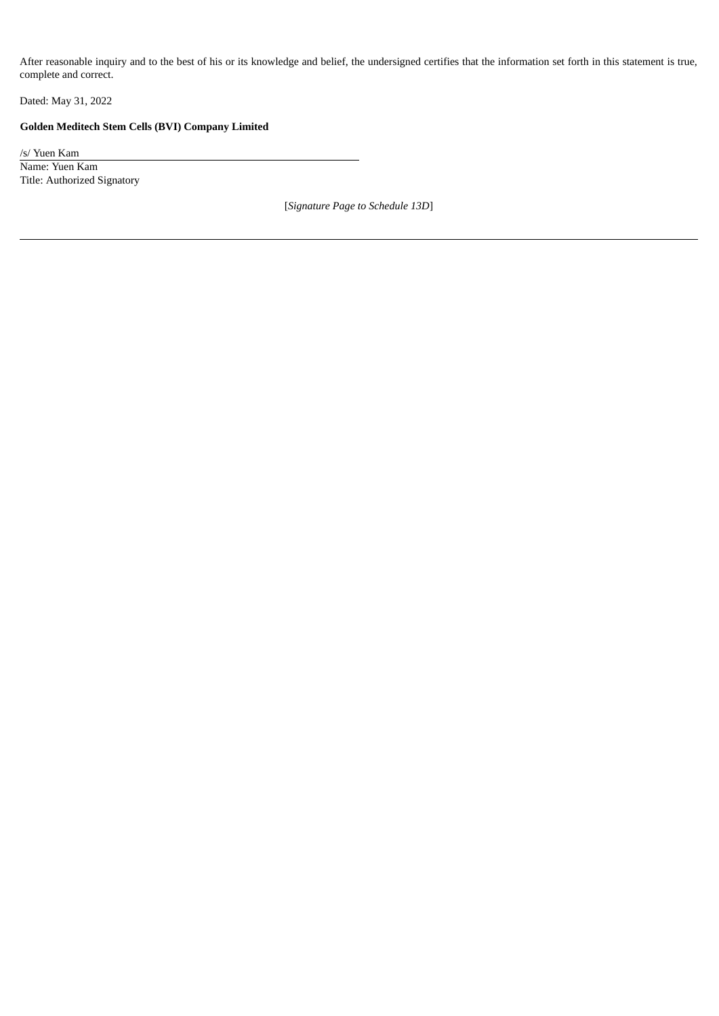After reasonable inquiry and to the best of his or its knowledge and belief, the undersigned certifies that the information set forth in this statement is true, complete and correct.

Dated: May 31, 2022

## **Golden Meditech Stem Cells (BVI) Company Limited**

/s/ Yuen Kam Name: Yuen Kam Title: Authorized Signatory

[*Signature Page to Schedule 13D*]